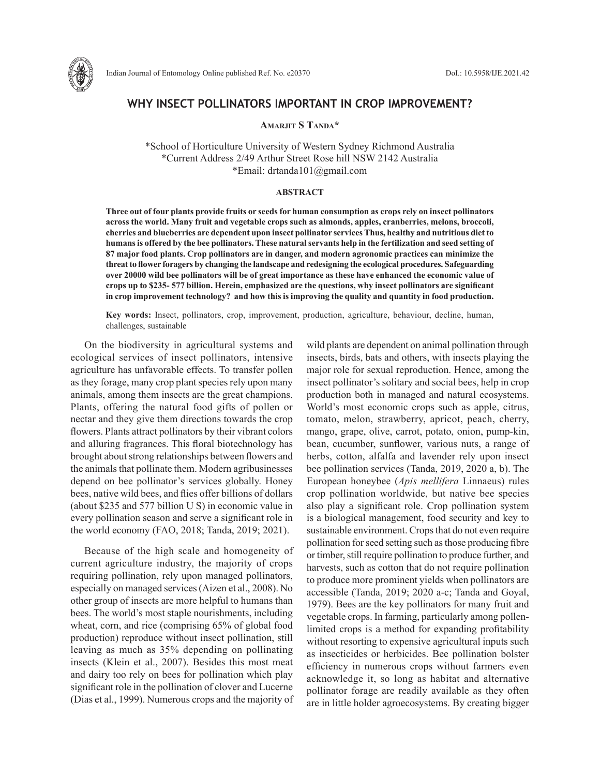

# **WHY INSECT POLLINATORS IMPORTANT IN CROP IMPROVEMENT?**

**Amarjit S Tanda\***

\*School of Horticulture University of Western Sydney Richmond Australia \*Current Address 2/49 Arthur Street Rose hill NSW 2142 Australia \*Email: drtanda101@gmail.com

#### **ABSTRACT**

**Three out of four plants provide fruits or seeds for human consumption as crops rely on insect pollinators across the world. Many fruit and vegetable crops such as almonds, apples, cranberries, melons, broccoli, cherries and blueberries are dependent upon insect pollinator services Thus, healthy and nutritious diet to humans is offered by the bee pollinators. These natural servants help in the fertilization and seed setting of 87 major food plants. Crop pollinators are in danger, and modern agronomic practices can minimize the threat to flower foragers by changing the landscape and redesigning the ecological procedures. Safeguarding over 20000 wild bee pollinators will be of great importance as these have enhanced the economic value of crops up to \$235- 577 billion. Herein, emphasized are the questions, why insect pollinators are significant in crop improvement technology? and how this is improving the quality and quantity in food production.** 

**Key words:** Insect, pollinators, crop, improvement, production, agriculture, behaviour, decline, human, challenges, sustainable

On the biodiversity in agricultural systems and ecological services of insect pollinators, intensive agriculture has unfavorable effects. To transfer pollen as they forage, many crop plant species rely upon many animals, among them insects are the great champions. Plants, offering the natural food gifts of pollen or nectar and they give them directions towards the crop flowers. Plants attract pollinators by their vibrant colors and alluring fragrances. This floral biotechnology has brought about strong relationships between flowers and the animals that pollinate them. Modern agribusinesses depend on bee pollinator's services globally. Honey bees, native wild bees, and flies offer billions of dollars (about \$235 and 577 billion U S) in economic value in every pollination season and serve a significant role in the world economy (FAO, 2018; Tanda, 2019; 2021).

Because of the high scale and homogeneity of current agriculture industry, the majority of crops requiring pollination, rely upon managed pollinators, especially on managed services (Aizen et al., 2008). No other group of insects are more helpful to humans than bees. The world's most staple nourishments, including wheat, corn, and rice (comprising 65% of global food production) reproduce without insect pollination, still leaving as much as 35% depending on pollinating insects (Klein et al., 2007). Besides this most meat and dairy too rely on bees for pollination which play significant role in the pollination of clover and Lucerne (Dias et al., 1999). Numerous crops and the majority of wild plants are dependent on animal pollination through insects, birds, bats and others, with insects playing the major role for sexual reproduction. Hence, among the insect pollinator's solitary and social bees, help in crop production both in managed and natural ecosystems. World's most economic crops such as apple, citrus, tomato, melon, strawberry, apricot, peach, cherry, mango, grape, olive, carrot, potato, onion, pump-kin, bean, cucumber, sunflower, various nuts, a range of herbs, cotton, alfalfa and lavender rely upon insect bee pollination services (Tanda, 2019, 2020 a, b). The European honeybee (*Apis mellifera* Linnaeus) rules crop pollination worldwide, but native bee species also play a significant role. Crop pollination system is a biological management, food security and key to sustainable environment. Crops that do not even require pollination for seed setting such as those producing fibre or timber, still require pollination to produce further, and harvests, such as cotton that do not require pollination to produce more prominent yields when pollinators are accessible (Tanda, 2019; 2020 a-c; Tanda and Goyal, 1979). Bees are the key pollinators for many fruit and vegetable crops. In farming, particularly among pollenlimited crops is a method for expanding profitability without resorting to expensive agricultural inputs such as insecticides or herbicides. Bee pollination bolster efficiency in numerous crops without farmers even acknowledge it, so long as habitat and alternative pollinator forage are readily available as they often are in little holder agroecosystems. By creating bigger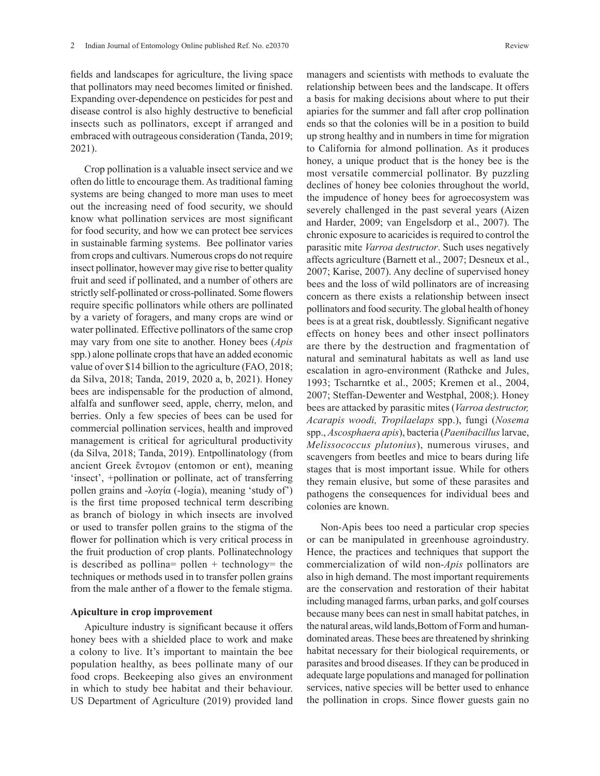fields and landscapes for agriculture, the living space that pollinators may need becomes limited or finished. Expanding over-dependence on pesticides for pest and disease control is also highly destructive to beneficial insects such as pollinators, except if arranged and embraced with outrageous consideration (Tanda, 2019; 2021).

Crop pollination is a valuable insect service and we often do little to encourage them. As traditional faming systems are being changed to more man uses to meet out the increasing need of food security, we should know what pollination services are most significant for food security, and how we can protect bee services in sustainable farming systems. Bee pollinator varies from crops and cultivars. Numerous crops do not require insect pollinator, however may give rise to better quality fruit and seed if pollinated, and a number of others are strictly self-pollinated or cross-pollinated. Some flowers require specific pollinators while others are pollinated by a variety of foragers, and many crops are wind or water pollinated. Effective pollinators of the same crop may vary from one site to another. Honey bees (*Apis*  spp.) alone pollinate crops that have an added economic value of over \$14 billion to the agriculture (FAO, 2018; da Silva, 2018; Tanda, 2019, 2020 a, b, 2021). Honey bees are indispensable for the production of almond, alfalfa and sunflower seed, apple, cherry, melon, and berries. Only a few species of bees can be used for commercial pollination services, health and improved management is critical for agricultural productivity (da Silva, 2018; Tanda, 2019). Entpollinatology (from ancient Greek ἔντομον (entomon or ent), meaning 'insect', +pollination or pollinate, act of transferring pollen grains and -λογία (-logia), meaning 'study of') is the first time proposed technical term describing as branch of biology in which insects are involved or used to transfer pollen grains to the stigma of the flower for pollination which is very critical process in the fruit production of crop plants. Pollinatechnology is described as pollina= pollen + technology= the techniques or methods used in to transfer pollen grains from the male anther of a flower to the female stigma.

#### **Apiculture in crop improvement**

Apiculture industry is significant because it offers honey bees with a shielded place to work and make a colony to live. It's important to maintain the bee population healthy, as bees pollinate many of our food crops. Beekeeping also gives an environment in which to study bee habitat and their behaviour. US Department of Agriculture (2019) provided land managers and scientists with methods to evaluate the relationship between bees and the landscape. It offers a basis for making decisions about where to put their apiaries for the summer and fall after crop pollination ends so that the colonies will be in a position to build up strong healthy and in numbers in time for migration to California for almond pollination. As it produces honey, a unique product that is the honey bee is the most versatile commercial pollinator. By puzzling declines of honey bee colonies throughout the world, the impudence of honey bees for agroecosystem was severely challenged in the past several years (Aizen and Harder, 2009; van Engelsdorp et al., 2007). The chronic exposure to acaricides is required to control the parasitic mite *Varroa destructor*. Such uses negatively affects agriculture (Barnett et al., 2007; Desneux et al., 2007; Karise, 2007). Any decline of supervised honey bees and the loss of wild pollinators are of increasing concern as there exists a relationship between insect pollinators and food security. The global health of honey bees is at a great risk, doubtlessly. Significant negative effects on honey bees and other insect pollinators are there by the destruction and fragmentation of natural and seminatural habitats as well as land use escalation in agro-environment (Rathcke and Jules, 1993; Tscharntke et al., 2005; Kremen et al., 2004, 2007; Steffan-Dewenter and Westphal, 2008;). Honey bees are attacked by parasitic mites (*Varroa destructor, Acarapis woodi, Tropilaelaps* spp.), fungi (*Nosema* spp., *Ascosphaera apis*), bacteria (*Paenibacillus* larvae, *Melissococcus plutonius*), numerous viruses, and scavengers from beetles and mice to bears during life stages that is most important issue. While for others they remain elusive, but some of these parasites and pathogens the consequences for individual bees and colonies are known.

Non-Apis bees too need a particular crop species or can be manipulated in greenhouse agroindustry. Hence, the practices and techniques that support the commercialization of wild non-*Apis* pollinators are also in high demand. The most important requirements are the conservation and restoration of their habitat including managed farms, urban parks, and golf courses because many bees can nest in small habitat patches, in the natural areas, wild lands, Bottom of Form and humandominated areas. These bees are threatened by shrinking habitat necessary for their biological requirements, or parasites and brood diseases. If they can be produced in adequate large populations and managed for pollination services, native species will be better used to enhance the pollination in crops. Since flower guests gain no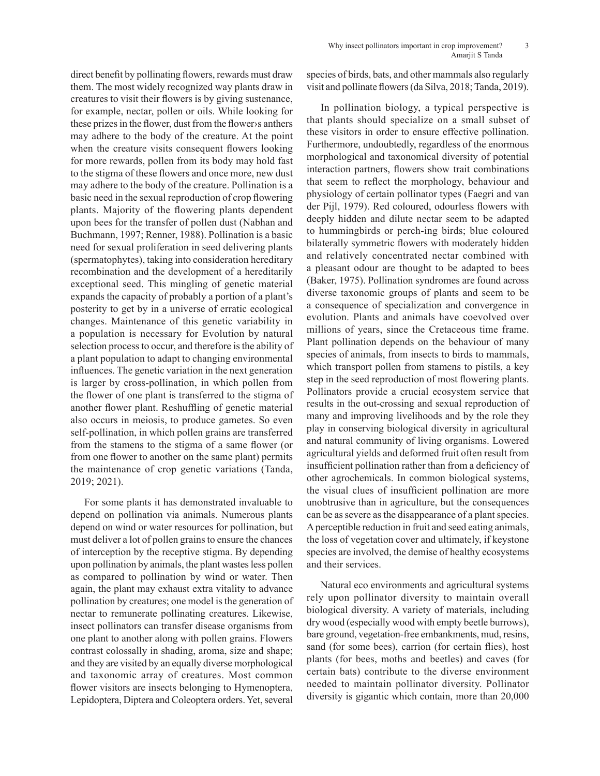direct benefit by pollinating flowers, rewards must draw them. The most widely recognized way plants draw in creatures to visit their flowers is by giving sustenance, for example, nectar, pollen or oils. While looking for these prizes in the flower, dust from the flower›s anthers may adhere to the body of the creature. At the point when the creature visits consequent flowers looking for more rewards, pollen from its body may hold fast to the stigma of these flowers and once more, new dust may adhere to the body of the creature. Pollination is a basic need in the sexual reproduction of crop flowering plants. Majority of the flowering plants dependent upon bees for the transfer of pollen dust (Nabhan and Buchmann, 1997; Renner, 1988). Pollination is a basic need for sexual proliferation in seed delivering plants (spermatophytes), taking into consideration hereditary recombination and the development of a hereditarily exceptional seed. This mingling of genetic material expands the capacity of probably a portion of a plant's posterity to get by in a universe of erratic ecological changes. Maintenance of this genetic variability in a population is necessary for Evolution by natural selection process to occur, and therefore is the ability of a plant population to adapt to changing environmental influences. The genetic variation in the next generation is larger by cross-pollination, in which pollen from the flower of one plant is transferred to the stigma of another flower plant. Reshuffling of genetic material also occurs in meiosis, to produce gametes. So even self-pollination, in which pollen grains are transferred from the stamens to the stigma of a same flower (or from one flower to another on the same plant) permits the maintenance of crop genetic variations (Tanda, 2019; 2021).

For some plants it has demonstrated invaluable to depend on pollination via animals. Numerous plants depend on wind or water resources for pollination, but must deliver a lot of pollen grains to ensure the chances of interception by the receptive stigma. By depending upon pollination by animals, the plant wastes less pollen as compared to pollination by wind or water. Then again, the plant may exhaust extra vitality to advance pollination by creatures; one model is the generation of nectar to remunerate pollinating creatures. Likewise, insect pollinators can transfer disease organisms from one plant to another along with pollen grains. Flowers contrast colossally in shading, aroma, size and shape; and they are visited by an equally diverse morphological and taxonomic array of creatures. Most common flower visitors are insects belonging to Hymenoptera, Lepidoptera, Diptera and Coleoptera orders. Yet, several

species of birds, bats, and other mammals also regularly visit and pollinate flowers (da Silva, 2018; Tanda, 2019).

In pollination biology, a typical perspective is that plants should specialize on a small subset of these visitors in order to ensure effective pollination. Furthermore, undoubtedly, regardless of the enormous morphological and taxonomical diversity of potential interaction partners, flowers show trait combinations that seem to reflect the morphology, behaviour and physiology of certain pollinator types (Faegri and van der Pijl, 1979). Red coloured, odourless flowers with deeply hidden and dilute nectar seem to be adapted to hummingbirds or perch-ing birds; blue coloured bilaterally symmetric flowers with moderately hidden and relatively concentrated nectar combined with a pleasant odour are thought to be adapted to bees (Baker, 1975). Pollination syndromes are found across diverse taxonomic groups of plants and seem to be a consequence of specialization and convergence in evolution. Plants and animals have coevolved over millions of years, since the Cretaceous time frame. Plant pollination depends on the behaviour of many species of animals, from insects to birds to mammals, which transport pollen from stamens to pistils, a key step in the seed reproduction of most flowering plants. Pollinators provide a crucial ecosystem service that results in the out-crossing and sexual reproduction of many and improving livelihoods and by the role they play in conserving biological diversity in agricultural and natural community of living organisms. Lowered agricultural yields and deformed fruit often result from insufficient pollination rather than from a deficiency of other agrochemicals. In common biological systems, the visual clues of insufficient pollination are more unobtrusive than in agriculture, but the consequences can be as severe as the disappearance of a plant species. A perceptible reduction in fruit and seed eating animals, the loss of vegetation cover and ultimately, if keystone species are involved, the demise of healthy ecosystems and their services.

Natural eco environments and agricultural systems rely upon pollinator diversity to maintain overall biological diversity. A variety of materials, including dry wood (especially wood with empty beetle burrows), bare ground, vegetation-free embankments, mud, resins, sand (for some bees), carrion (for certain flies), host plants (for bees, moths and beetles) and caves (for certain bats) contribute to the diverse environment needed to maintain pollinator diversity. Pollinator diversity is gigantic which contain, more than 20,000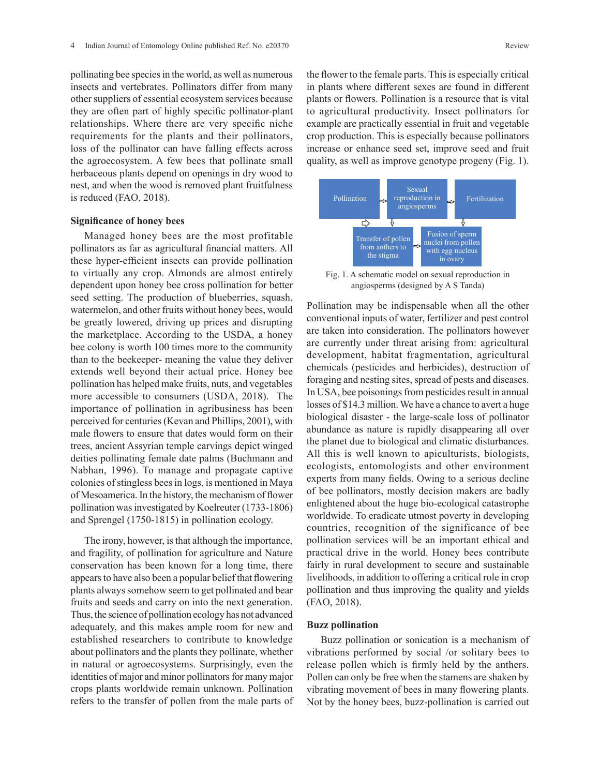pollinating bee species in the world, as well as numerous insects and vertebrates. Pollinators differ from many other suppliers of essential ecosystem services because they are often part of highly specific pollinator-plant relationships. Where there are very specific niche requirements for the plants and their pollinators, loss of the pollinator can have falling effects across the agroecosystem. A few bees that pollinate small herbaceous plants depend on openings in dry wood to nest, and when the wood is removed plant fruitfulness is reduced (FAO, 2018).

#### **Significance of honey bees**

Managed honey bees are the most profitable pollinators as far as agricultural financial matters. All these hyper-efficient insects can provide pollination to virtually any crop. Almonds are almost entirely dependent upon honey bee cross pollination for better seed setting. The production of blueberries, squash, watermelon, and other fruits without honey bees, would be greatly lowered, driving up prices and disrupting the marketplace. According to the USDA, a honey bee colony is worth 100 times more to the community than to the beekeeper- meaning the value they deliver extends well beyond their actual price. Honey bee pollination has helped make fruits, nuts, and vegetables more accessible to consumers (USDA, 2018). The importance of pollination in agribusiness has been perceived for centuries (Kevan and Phillips, 2001), with male flowers to ensure that dates would form on their trees, ancient Assyrian temple carvings depict winged deities pollinating female date palms (Buchmann and Nabhan, 1996). To manage and propagate captive colonies of stingless bees in logs, is mentioned in Maya of Mesoamerica. In the history, the mechanism of flower pollination was investigated by Koelreuter (1733-1806) and Sprengel (1750-1815) in pollination ecology.

The irony, however, is that although the importance, and fragility, of pollination for agriculture and Nature conservation has been known for a long time, there appears to have also been a popular belief that flowering plants always somehow seem to get pollinated and bear fruits and seeds and carry on into the next generation. Thus, the science of pollination ecology has not advanced adequately, and this makes ample room for new and established researchers to contribute to knowledge about pollinators and the plants they pollinate, whether in natural or agroecosystems. Surprisingly, even the identities of major and minor pollinators for many major crops plants worldwide remain unknown. Pollination refers to the transfer of pollen from the male parts of the flower to the female parts. This is especially critical in plants where different sexes are found in different plants or flowers. Pollination is a resource that is vital to agricultural productivity. Insect pollinators for example are practically essential in fruit and vegetable crop production. This is especially because pollinators increase or enhance seed set, improve seed and fruit quality, as well as improve genotype progeny (Fig. 1).



Fig. 1. A schematic model on sexual reproduction in angiosperms (designed by A S Tanda)

Pollination may be indispensable when all the other conventional inputs of water, fertilizer and pest control are taken into consideration. The pollinators however are currently under threat arising from: agricultural development, habitat fragmentation, agricultural chemicals (pesticides and herbicides), destruction of foraging and nesting sites, spread of pests and diseases. In USA, bee poisonings from pesticides result in annual losses of \$14.3 million. We have a chance to avert a huge biological disaster - the large-scale loss of pollinator abundance as nature is rapidly disappearing all over the planet due to biological and climatic disturbances. All this is well known to apiculturists, biologists, ecologists, entomologists and other environment experts from many fields. Owing to a serious decline of bee pollinators, mostly decision makers are badly enlightened about the huge bio-ecological catastrophe worldwide. To eradicate utmost poverty in developing countries, recognition of the significance of bee pollination services will be an important ethical and practical drive in the world. Honey bees contribute fairly in rural development to secure and sustainable livelihoods, in addition to offering a critical role in crop pollination and thus improving the quality and yields (FAO, 2018).

#### **Buzz pollination**

Buzz pollination or sonication is a mechanism of vibrations performed by social /or solitary bees to release pollen which is firmly held by the anthers. Pollen can only be free when the stamens are shaken by vibrating movement of bees in many flowering plants. Not by the honey bees, buzz-pollination is carried out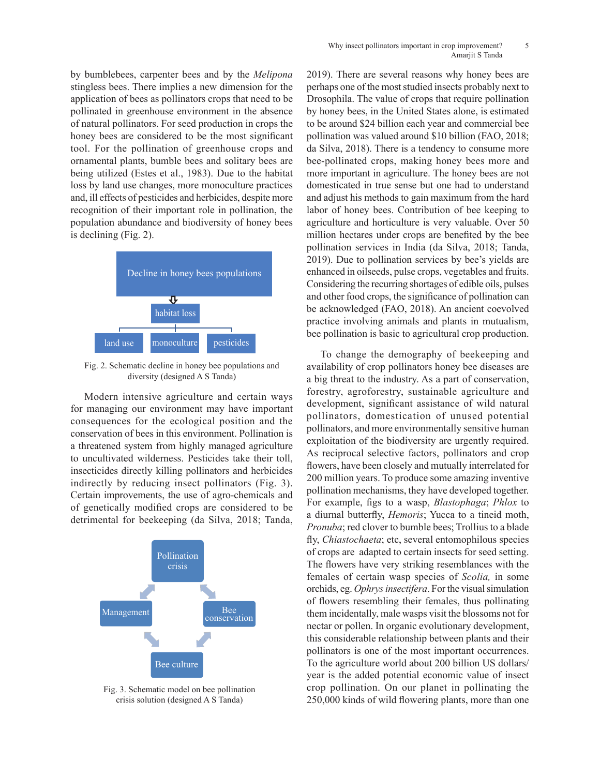by bumblebees, carpenter bees and by the *Melipona* stingless bees. There implies a new dimension for the application of bees as pollinators crops that need to be pollinated in greenhouse environment in the absence of natural pollinators. For seed production in crops the honey bees are considered to be the most significant tool. For the pollination of greenhouse crops and ornamental plants, bumble bees and solitary bees are being utilized (Estes et al., 1983). Due to the habitat loss by land use changes, more monoculture practices and, ill effects of pesticides and herbicides, despite more recognition of their important role in pollination, the population abundance and biodiversity of honey bees is declining (Fig. 2).



Fig. 2. Schematic decline in honey bee populations and diversity (designed A S Tanda)

Modern intensive agriculture and certain ways for managing our environment may have important consequences for the ecological position and the conservation of bees in this environment. Pollination is a threatened system from highly managed agriculture to uncultivated wilderness. Pesticides take their toll, insecticides directly killing pollinators and herbicides indirectly by reducing insect pollinators (Fig. 3). Certain improvements, the use of agro-chemicals and of genetically modified crops are considered to be detrimental for beekeeping (da Silva, 2018; Tanda,



Fig. 3. Schematic model on bee pollination crisis solution (designed A S Tanda)

2019). There are several reasons why honey bees are perhaps one of the most studied insects probably next to Drosophila. The value of crops that require pollination by honey bees, in the United States alone, is estimated to be around \$24 billion each year and commercial bee pollination was valued around \$10 billion (FAO, 2018; da Silva, 2018). There is a tendency to consume more bee-pollinated crops, making honey bees more and more important in agriculture. The honey bees are not domesticated in true sense but one had to understand and adjust his methods to gain maximum from the hard labor of honey bees. Contribution of bee keeping to agriculture and horticulture is very valuable. Over 50 million hectares under crops are benefited by the bee pollination services in India (da Silva, 2018; Tanda, 2019). Due to pollination services by bee's yields are enhanced in oilseeds, pulse crops, vegetables and fruits. Considering the recurring shortages of edible oils, pulses and other food crops, the significance of pollination can be acknowledged (FAO, 2018). An ancient coevolved practice involving animals and plants in mutualism, bee pollination is basic to agricultural crop production.

To change the demography of beekeeping and availability of crop pollinators honey bee diseases are a big threat to the industry. As a part of conservation, forestry, agroforestry, sustainable agriculture and development, significant assistance of wild natural pollinators, domestication of unused potential pollinators, and more environmentally sensitive human exploitation of the biodiversity are urgently required. As reciprocal selective factors, pollinators and crop flowers, have been closely and mutually interrelated for 200 million years. To produce some amazing inventive pollination mechanisms, they have developed together. For example, figs to a wasp, *Blastophaga*; *Phlox* to a diurnal butterfly, *Hemoris*; Yucca to a tineid moth, *Pronuba*; red clover to bumble bees; Trollius to a blade fly, *Chiastochaeta*; etc, several entomophilous species of crops are adapted to certain insects for seed setting. The flowers have very striking resemblances with the females of certain wasp species of *Scolia,* in some orchids, eg. *Ophrys insectifera*. For the visual simulation of flowers resembling their females, thus pollinating them incidentally, male wasps visit the blossoms not for nectar or pollen. In organic evolutionary development, this considerable relationship between plants and their pollinators is one of the most important occurrences. To the agriculture world about 200 billion US dollars/ year is the added potential economic value of insect crop pollination. On our planet in pollinating the 250,000 kinds of wild flowering plants, more than one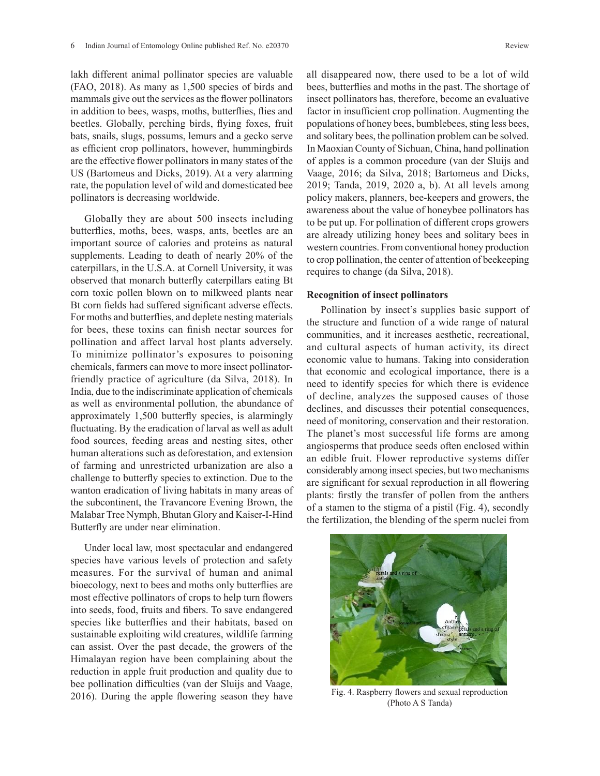lakh different animal pollinator species are valuable (FAO, 2018). As many as 1,500 species of birds and mammals give out the services as the flower pollinators in addition to bees, wasps, moths, butterflies, flies and beetles. Globally, perching birds, flying foxes, fruit bats, snails, slugs, possums, lemurs and a gecko serve as efficient crop pollinators, however, hummingbirds are the effective flower pollinators in many states of the US (Bartomeus and Dicks, 2019). At a very alarming rate, the population level of wild and domesticated bee pollinators is decreasing worldwide.

Globally they are about 500 insects including butterflies, moths, bees, wasps, ants, beetles are an important source of calories and proteins as natural supplements. Leading to death of nearly 20% of the caterpillars, in the U.S.A. at Cornell University, it was observed that monarch butterfly caterpillars eating Bt corn toxic pollen blown on to milkweed plants near Bt corn fields had suffered significant adverse effects. For moths and butterflies, and deplete nesting materials for bees, these toxins can finish nectar sources for pollination and affect larval host plants adversely. To minimize pollinator's exposures to poisoning chemicals, farmers can move to more insect pollinatorfriendly practice of agriculture (da Silva, 2018). In India, due to the indiscriminate application of chemicals as well as environmental pollution, the abundance of approximately 1,500 butterfly species, is alarmingly fluctuating. By the eradication of larval as well as adult food sources, feeding areas and nesting sites, other human alterations such as deforestation, and extension of farming and unrestricted urbanization are also a challenge to butterfly species to extinction. Due to the wanton eradication of living habitats in many areas of the subcontinent, the Travancore Evening Brown, the Malabar Tree Nymph, Bhutan Glory and Kaiser-I-Hind Butterfly are under near elimination.

Under local law, most spectacular and endangered species have various levels of protection and safety measures. For the survival of human and animal bioecology, next to bees and moths only butterflies are most effective pollinators of crops to help turn flowers into seeds, food, fruits and fibers. To save endangered species like butterflies and their habitats, based on sustainable exploiting wild creatures, wildlife farming can assist. Over the past decade, the growers of the Himalayan region have been complaining about the reduction in apple fruit production and quality due to bee pollination difficulties (van der Sluijs and Vaage, 2016). During the apple flowering season they have all disappeared now, there used to be a lot of wild bees, butterflies and moths in the past. The shortage of insect pollinators has, therefore, become an evaluative factor in insufficient crop pollination. Augmenting the populations of honey bees, bumblebees, sting less bees, and solitary bees, the pollination problem can be solved. In Maoxian County of Sichuan, China, hand pollination of apples is a common procedure (van der Sluijs and Vaage, 2016; da Silva, 2018; Bartomeus and Dicks, 2019; Tanda, 2019, 2020 a, b). At all levels among policy makers, planners, bee-keepers and growers, the awareness about the value of honeybee pollinators has to be put up. For pollination of different crops growers are already utilizing honey bees and solitary bees in western countries. From conventional honey production to crop pollination, the center of attention of beekeeping requires to change (da Silva, 2018).

#### **Recognition of insect pollinators**

Pollination by insect's supplies basic support of the structure and function of a wide range of natural the structure and function of a wide range of natural communities, and it increases aesthetic, recreational, and cultural aspects of human activity, its direct economic value to humans. Taking into consideration that economic and ecological importance, there is a need to identify species for which there is evidence of decline, analyzes the supposed causes of those declines, and discusses their potential consequences, need of monitoring, conservation and their restoration. The planet's most successful life forms are among angiosperms that produce seeds often enclosed within an edible fruit. Flower reproductive systems differ considerably among insect species, but two mechanisms are significant for sexual reproduction in all flowering plants: firstly the transfer of pollen from the anthers of a stamen to the stigma of a pistil (Fig. 4), secondly the fertilization, the blending of the sperm nuclei from



Fig. 4. Raspberry flowers and sexual reproduction (Photo A S Tanda)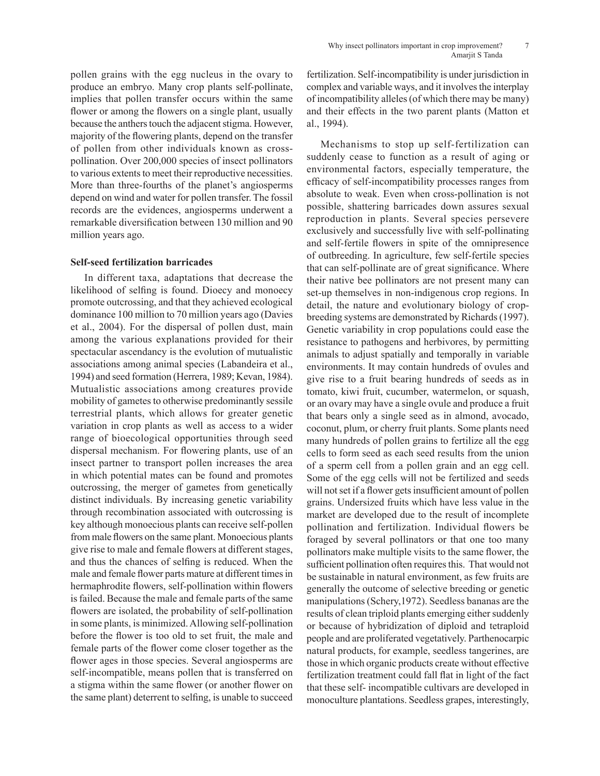pollen grains with the egg nucleus in the ovary to produce an embryo. Many crop plants self-pollinate, implies that pollen transfer occurs within the same flower or among the flowers on a single plant, usually because the anthers touch the adjacent stigma. However, majority of the flowering plants, depend on the transfer of pollen from other individuals known as crosspollination. Over 200,000 species of insect pollinators to various extents to meet their reproductive necessities. More than three-fourths of the planet's angiosperms depend on wind and water for pollen transfer. The fossil records are the evidences, angiosperms underwent a remarkable diversification between 130 million and 90 million years ago.

### **Self-seed fertilization barricades**

In different taxa, adaptations that decrease the likelihood of selfing is found. Dioecy and monoecy promote outcrossing, and that they achieved ecological dominance 100 million to 70 million years ago (Davies et al., 2004). For the dispersal of pollen dust, main among the various explanations provided for their spectacular ascendancy is the evolution of mutualistic associations among animal species (Labandeira et al., 1994) and seed formation (Herrera, 1989; Kevan, 1984). Mutualistic associations among creatures provide mobility of gametes to otherwise predominantly sessile terrestrial plants, which allows for greater genetic variation in crop plants as well as access to a wider range of bioecological opportunities through seed dispersal mechanism. For flowering plants, use of an insect partner to transport pollen increases the area in which potential mates can be found and promotes outcrossing, the merger of gametes from genetically distinct individuals. By increasing genetic variability through recombination associated with outcrossing is key although monoecious plants can receive self-pollen from male flowers on the same plant. Monoecious plants give rise to male and female flowers at different stages, and thus the chances of selfing is reduced. When the male and female flower parts mature at different times in hermaphrodite flowers, self-pollination within flowers is failed. Because the male and female parts of the same flowers are isolated, the probability of self-pollination in some plants, is minimized. Allowing self-pollination before the flower is too old to set fruit, the male and female parts of the flower come closer together as the flower ages in those species. Several angiosperms are self-incompatible, means pollen that is transferred on a stigma within the same flower (or another flower on the same plant) deterrent to selfing, is unable to succeed

fertilization. Self-incompatibility is under jurisdiction in complex and variable ways, and it involves the interplay of incompatibility alleles (of which there may be many) and their effects in the two parent plants (Matton et al., 1994).

Mechanisms to stop up self-fertilization can suddenly cease to function as a result of aging or environmental factors, especially temperature, the efficacy of self-incompatibility processes ranges from absolute to weak. Even when cross-pollination is not possible, shattering barricades down assures sexual reproduction in plants. Several species persevere exclusively and successfully live with self-pollinating and self-fertile flowers in spite of the omnipresence of outbreeding. In agriculture, few self-fertile species that can self-pollinate are of great significance. Where their native bee pollinators are not present many can set-up themselves in non-indigenous crop regions. In detail, the nature and evolutionary biology of cropbreeding systems are demonstrated by Richards (1997). Genetic variability in crop populations could ease the resistance to pathogens and herbivores, by permitting animals to adjust spatially and temporally in variable environments. It may contain hundreds of ovules and give rise to a fruit bearing hundreds of seeds as in tomato, kiwi fruit, cucumber, watermelon, or squash, or an ovary may have a single ovule and produce a fruit that bears only a single seed as in almond, avocado, coconut, plum, or cherry fruit plants. Some plants need many hundreds of pollen grains to fertilize all the egg cells to form seed as each seed results from the union of a sperm cell from a pollen grain and an egg cell. Some of the egg cells will not be fertilized and seeds will not set if a flower gets insufficient amount of pollen grains. Undersized fruits which have less value in the market are developed due to the result of incomplete pollination and fertilization. Individual flowers be foraged by several pollinators or that one too many pollinators make multiple visits to the same flower, the sufficient pollination often requires this. That would not be sustainable in natural environment, as few fruits are generally the outcome of selective breeding or genetic manipulations (Schery,1972). Seedless bananas are the results of clean triploid plants emerging either suddenly or because of hybridization of diploid and tetraploid people and are proliferated vegetatively. Parthenocarpic natural products, for example, seedless tangerines, are those in which organic products create without effective fertilization treatment could fall flat in light of the fact that these self- incompatible cultivars are developed in monoculture plantations. Seedless grapes, interestingly,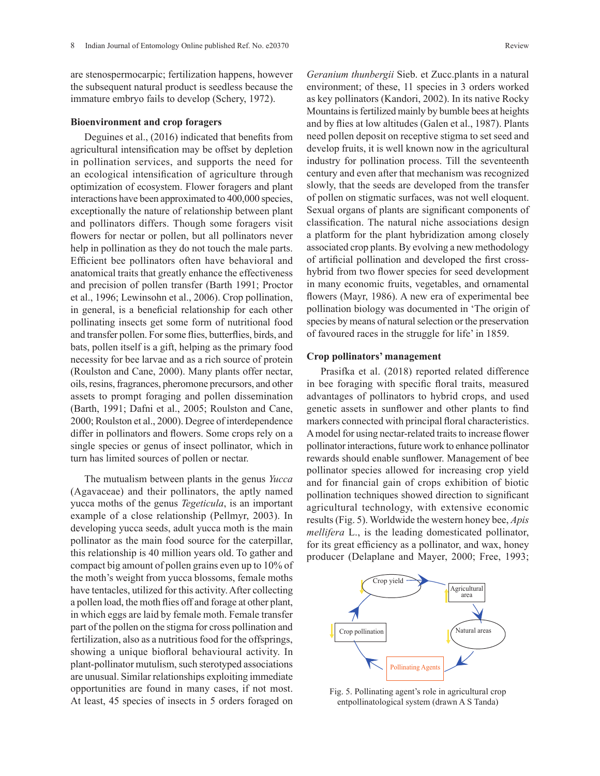are stenospermocarpic; fertilization happens, however the subsequent natural product is seedless because the immature embryo fails to develop (Schery, 1972).

#### **Bioenvironment and crop foragers**

Deguines et al., (2016) indicated that benefits from agricultural intensification may be offset by depletion in pollination services, and supports the need for an ecological intensification of agriculture through optimization of ecosystem. Flower foragers and plant interactions have been approximated to 400,000 species, exceptionally the nature of relationship between plant and pollinators differs. Though some foragers visit flowers for nectar or pollen, but all pollinators never help in pollination as they do not touch the male parts. Efficient bee pollinators often have behavioral and anatomical traits that greatly enhance the effectiveness and precision of pollen transfer (Barth 1991; Proctor et al., 1996; Lewinsohn et al., 2006). Crop pollination, in general, is a beneficial relationship for each other pollinating insects get some form of nutritional food and transfer pollen. For some flies, butterflies, birds, and bats, pollen itself is a gift, helping as the primary food necessity for bee larvae and as a rich source of protein (Roulston and Cane, 2000). Many plants offer nectar, oils, resins, fragrances, pheromone precursors, and other assets to prompt foraging and pollen dissemination (Barth, 1991; Dafni et al., 2005; Roulston and Cane, 2000; Roulston et al., 2000). Degree of interdependence differ in pollinators and flowers. Some crops rely on a single species or genus of insect pollinator, which in turn has limited sources of pollen or nectar.

The mutualism between plants in the genus *Yucca* (Agavaceae) and their pollinators, the aptly named yucca moths of the genus *Tegeticula*, is an important example of a close relationship (Pellmyr, 2003). In developing yucca seeds, adult yucca moth is the main pollinator as the main food source for the caterpillar, this relationship is 40 million years old. To gather and compact big amount of pollen grains even up to 10% of the moth's weight from yucca blossoms, female moths have tentacles, utilized for this activity. After collecting a pollen load, the moth flies off and forage at other plant, in which eggs are laid by female moth. Female transfer part of the pollen on the stigma for cross pollination and fertilization, also as a nutritious food for the offsprings, showing a unique biofloral behavioural activity. In plant-pollinator mutulism, such sterotyped associations are unusual. Similar relationships exploiting immediate opportunities are found in many cases, if not most. At least, 45 species of insects in 5 orders foraged on

*Geranium thunbergii* Sieb. et Zucc.plants in a natural environment; of these, 11 species in 3 orders worked as key pollinators (Kandori, 2002). In its native Rocky Mountains is fertilized mainly by bumble bees at heights and by flies at low altitudes (Galen et al., 1987). Plants need pollen deposit on receptive stigma to set seed and develop fruits, it is well known now in the agricultural industry for pollination process. Till the seventeenth century and even after that mechanism was recognized slowly, that the seeds are developed from the transfer of pollen on stigmatic surfaces, was not well eloquent. Sexual organs of plants are significant components of classification. The natural niche associations design a platform for the plant hybridization among closely associated crop plants. By evolving a new methodology of artificial pollination and developed the first crosshybrid from two flower species for seed development in many economic fruits, vegetables, and ornamental flowers (Mayr, 1986). A new era of experimental bee pollination biology was documented in 'The origin of species by means of natural selection or the preservation of favoured races in the struggle for life' in 1859.

### **Crop pollinators' management**

Prasifka et al. (2018) reported related difference in bee foraging with specific floral traits, measured advantages of pollinators to hybrid crops, and used genetic assets in sunflower and other plants to find markers connected with principal floral characteristics. A model for using nectar-related traits to increase flower pollinator interactions, future work to enhance pollinator rewards should enable sunflower. Management of bee pollinator species allowed for increasing crop yield and for financial gain of crops exhibition of biotic pollination techniques showed direction to significant agricultural technology, with extensive economic results (Fig. 5). Worldwide the western honey bee, *Apis mellifera* L., is the leading domesticated pollinator, for its great efficiency as a pollinator, and wax, honey producer (Delaplane and Mayer, 2000; Free, 1993;



Fig. 5. Pollinating agent's role in agricultural crop entpollinatological system (drawn A S Tanda)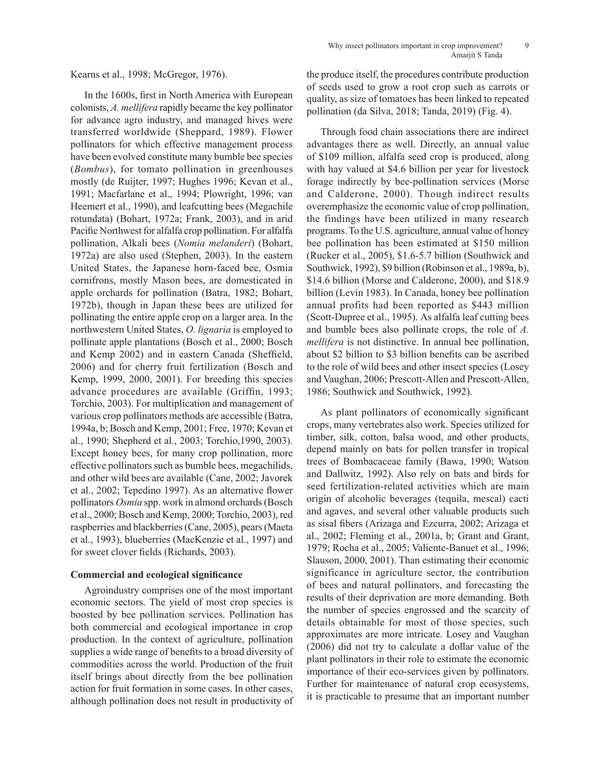Kearns et al., 1998; McGregor, 1976).

In the 1600s, first in North America with European colonists, *A. mellifera* rapidly became the key pollinator for advance agro industry, and managed hives were transferred worldwide (Sheppard, 1989). Flower pollinators for which effective management process have been evolved constitute many bumble bee species (*Bombus*), for tomato pollination in greenhouses mostly (de Ruijter, 1997; Hughes 1996; Kevan et al., 1991; Macfarlane et al., 1994; Plowright, 1996; van Heemert et al., 1990), and leafcutting bees (Megachile rotundata) (Bohart, 1972a; Frank, 2003), and in arid Pacific Northwest for alfalfa crop pollination. For alfalfa pollination, Alkali bees (*Nomia melanderi*) (Bohart, 1972a) are also used (Stephen, 2003). In the eastern United States, the Japanese horn-faced bee, Osmia cornifrons, mostly Mason bees, are domesticated in apple orchards for pollination (Batra, 1982; Bohart, 1972b), though in Japan these bees are utilized for pollinating the entire apple crop on a larger area. In the northwestern United States, *O. lignaria* is employed to pollinate apple plantations (Bosch et al., 2000; Bosch and Kemp 2002) and in eastern Canada (Sheffield, 2006) and for cherry fruit fertilization (Bosch and Kemp, 1999, 2000, 2001). For breeding this species advance procedures are available (Griffin, 1993; Torchio, 2003). For multiplication and management of various crop pollinators methods are accessible (Batra, 1994a, b; Bosch and Kemp, 2001; Free, 1970; Kevan et al., 1990; Shepherd et al., 2003; Torchio,1990, 2003). Except honey bees, for many crop pollination, more effective pollinators such as bumble bees, megachilids, and other wild bees are available (Cane, 2002; Javorek et al., 2002; Tepedino 1997). As an alternative flower pollinators *Osmia* spp. work in almond orchards (Bosch et al., 2000; Bosch and Kemp, 2000; Torchio, 2003), red raspberries and blackberries (Cane, 2005), pears (Maeta et al., 1993), blueberries (MacKenzie et al., 1997) and for sweet clover fields (Richards, 2003).

### **Commercial and ecological significance**

Agroindustry comprises one of the most important economic sectors. The yield of most crop species is boosted by bee pollination services. Pollination has both commercial and ecological importance in crop production. In the context of agriculture, pollination supplies a wide range of benefits to a broad diversity of commodities across the world. Production of the fruit itself brings about directly from the bee pollination action for fruit formation in some cases. In other cases, although pollination does not result in productivity of the produce itself, the procedures contribute production of seeds used to grow a root crop such as carrots or quality, as size of tomatoes has been linked to repeated pollination (da Silva, 2018; Tanda, 2019) (Fig. 4).

Through food chain associations there are indirect advantages there as well. Directly, an annual value of \$109 million, alfalfa seed crop is produced, along with hay valued at \$4.6 billion per year for livestock forage indirectly by bee-pollination services (Morse and Calderone, 2000). Though indirect results overemphasize the economic value of crop pollination, the findings have been utilized in many research programs. To the U.S. agriculture, annual value of honey bee pollination has been estimated at \$150 million (Rucker et al., 2005), \$1.6-5.7 billion (Southwick and Southwick, 1992), \$9 billion (Robinson et al., 1989a, b), \$14.6 billion (Morse and Calderone, 2000), and \$18.9 billion (Levin 1983). In Canada, honey bee pollination annual profits had been reported as \$443 million (Scott-Dupree et al., 1995). As alfalfa leaf cutting bees and bumble bees also pollinate crops, the role of *A. mellifera* is not distinctive. In annual bee pollination, about \$2 billion to \$3 billion benefits can be ascribed to the role of wild bees and other insect species (Losey and Vaughan, 2006; Prescott-Allen and Prescott-Allen, 1986; Southwick and Southwick, 1992).

As plant pollinators of economically significant crops, many vertebrates also work. Species utilized for timber, silk, cotton, balsa wood, and other products, depend mainly on bats for pollen transfer in tropical trees of Bombacaceae family (Bawa, 1990; Watson and Dallwitz, 1992). Also rely on bats and birds for seed fertilization-related activities which are main origin of alcoholic beverages (tequila, mescal) cacti and agaves, and several other valuable products such as sisal fibers (Arizaga and Ezcurra, 2002; Arizaga et al., 2002; Fleming et al., 2001a, b; Grant and Grant, 1979; Rocha et al., 2005; Valiente-Banuet et al., 1996; Slauson, 2000, 2001). Than estimating their economic significance in agriculture sector, the contribution of bees and natural pollinators, and forecasting the results of their deprivation are more demanding. Both the number of species engrossed and the scarcity of details obtainable for most of those species, such approximates are more intricate. Losey and Vaughan (2006) did not try to calculate a dollar value of the plant pollinators in their role to estimate the economic importance of their eco-services given by pollinators. Further for maintenance of natural crop ecosystems, it is practicable to presume that an important number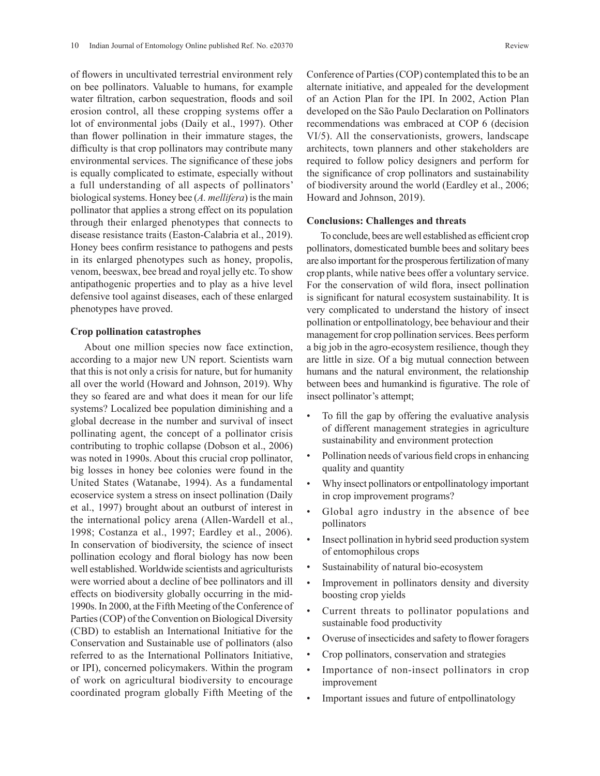of flowers in uncultivated terrestrial environment rely on bee pollinators. Valuable to humans, for example water filtration, carbon sequestration, floods and soil erosion control, all these cropping systems offer a lot of environmental jobs (Daily et al., 1997). Other than flower pollination in their immature stages, the difficulty is that crop pollinators may contribute many environmental services. The significance of these jobs is equally complicated to estimate, especially without a full understanding of all aspects of pollinators' biological systems. Honey bee (*A. mellifera*) is the main pollinator that applies a strong effect on its population through their enlarged phenotypes that connects to disease resistance traits (Easton-Calabria et al., 2019). Honey bees confirm resistance to pathogens and pests in its enlarged phenotypes such as honey, propolis, venom, beeswax, bee bread and royal jelly etc. To show antipathogenic properties and to play as a hive level defensive tool against diseases, each of these enlarged phenotypes have proved.

#### **Crop pollination catastrophes**

About one million species now face extinction, according to a major new UN report. Scientists warn that this is not only a crisis for nature, but for humanity all over the world (Howard and Johnson, 2019). Why they so feared are and what does it mean for our life systems? Localized bee population diminishing and a global decrease in the number and survival of insect pollinating agent, the concept of a pollinator crisis contributing to trophic collapse (Dobson et al., 2006) was noted in 1990s. About this crucial crop pollinator, big losses in honey bee colonies were found in the United States (Watanabe, 1994). As a fundamental ecoservice system a stress on insect pollination (Daily et al., 1997) brought about an outburst of interest in the international policy arena (Allen-Wardell et al., 1998; Costanza et al., 1997; Eardley et al., 2006). In conservation of biodiversity, the science of insect pollination ecology and floral biology has now been well established. Worldwide scientists and agriculturists were worried about a decline of bee pollinators and ill effects on biodiversity globally occurring in the mid-1990s. In 2000, at the Fifth Meeting of the Conference of Parties (COP) of the Convention on Biological Diversity (CBD) to establish an International Initiative for the Conservation and Sustainable use of pollinators (also referred to as the International Pollinators Initiative, or IPI), concerned policymakers. Within the program of work on agricultural biodiversity to encourage coordinated program globally Fifth Meeting of the Conference of Parties (COP) contemplated this to be an alternate initiative, and appealed for the development of an Action Plan for the IPI. In 2002, Action Plan developed on the São Paulo Declaration on Pollinators recommendations was embraced at COP 6 (decision VI/5). All the conservationists, growers, landscape architects, town planners and other stakeholders are required to follow policy designers and perform for the significance of crop pollinators and sustainability of biodiversity around the world (Eardley et al., 2006; Howard and Johnson, 2019).

## **Conclusions: Challenges and threats**

To conclude, bees are well established as efficient crop pollinators, domesticated bumble bees and solitary bees are also important for the prosperous fertilization of many crop plants, while native bees offer a voluntary service. For the conservation of wild flora, insect pollination is significant for natural ecosystem sustainability. It is very complicated to understand the history of insect pollination or entpollinatology, bee behaviour and their management for crop pollination services. Bees perform a big job in the agro-ecosystem resilience, though they are little in size. Of a big mutual connection between humans and the natural environment, the relationship between bees and humankind is figurative. The role of insect pollinator's attempt;

- To fill the gap by offering the evaluative analysis of different management strategies in agriculture sustainability and environment protection
- Pollination needs of various field crops in enhancing quality and quantity
- Why insect pollinators or entpollinatology important in crop improvement programs?
- Global agro industry in the absence of bee pollinators
- Insect pollination in hybrid seed production system of entomophilous crops
- Sustainability of natural bio-ecosystem
- Improvement in pollinators density and diversity boosting crop yields
- Current threats to pollinator populations and sustainable food productivity
- Overuse of insecticides and safety to flower foragers
- Crop pollinators, conservation and strategies
- Importance of non-insect pollinators in crop improvement
- Important issues and future of entpollinatology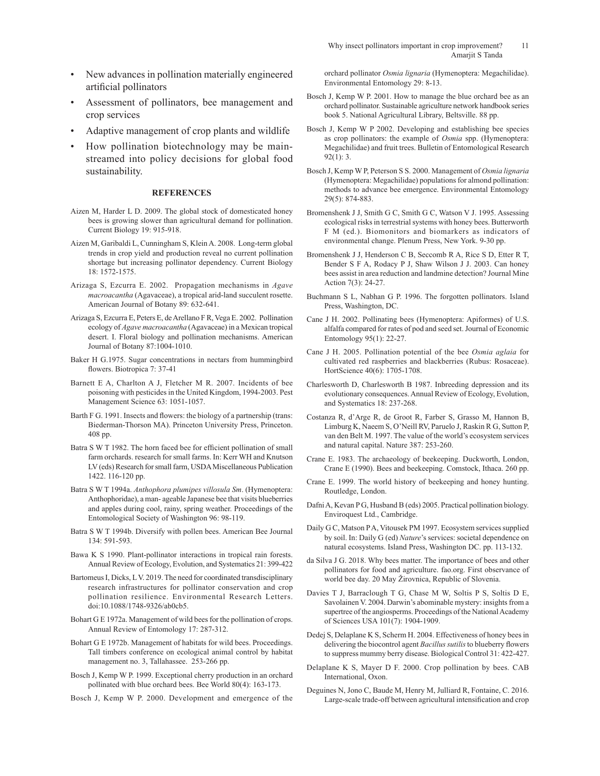- New advances in pollination materially engineered artificial pollinators
- Assessment of pollinators, bee management and crop services
- Adaptive management of crop plants and wildlife
- How pollination biotechnology may be mainstreamed into policy decisions for global food sustainability.

#### **REFERENCES**

- Aizen M, Harder L D. 2009. The global stock of domesticated honey bees is growing slower than agricultural demand for pollination. Current Biology 19: 915-918.
- Aizen M, Garibaldi L, Cunningham S, Klein A. 2008. Long-term global trends in crop yield and production reveal no current pollination shortage but increasing pollinator dependency. Current Biology 18: 1572-1575.
- Arizaga S, Ezcurra E. 2002. Propagation mechanisms in *Agave macroacantha* (Agavaceae), a tropical arid-land succulent rosette. American Journal of Botany 89: 632-641.
- Arizaga S, Ezcurra E, Peters E, de Arellano F R, Vega E. 2002. Pollination ecology of *Agave macroacantha* (Agavaceae) in a Mexican tropical desert. I. Floral biology and pollination mechanisms. American Journal of Botany 87:1004-1010.
- Baker H G.1975. Sugar concentrations in nectars from hummingbird flowers. Biotropica 7: 37-41
- Barnett E A, Charlton A J, Fletcher M R. 2007. Incidents of bee poisoning with pesticides in the United Kingdom, 1994-2003. Pest Management Science 63: 1051-1057.
- Barth F G. 1991. Insects and flowers: the biology of a partnership (trans: Biederman-Thorson MA). Princeton University Press, Princeton. 408 pp.
- Batra S W T 1982. The horn faced bee for efficient pollination of small farm orchards. research for small farms. In: Kerr WH and Knutson LV (eds) Research for small farm, USDA Miscellaneous Publication 1422. 116-120 pp.
- Batra S W T 1994a. *Anthophora plumipes villosula Sm*. (Hymenoptera: Anthophoridae), a man- ageable Japanese bee that visits blueberries and apples during cool, rainy, spring weather. Proceedings of the Entomological Society of Washington 96: 98-119.
- Batra S W T 1994b. Diversify with pollen bees. American Bee Journal 134: 591-593.
- Bawa K S 1990. Plant-pollinator interactions in tropical rain forests. Annual Review of Ecology, Evolution, and Systematics 21: 399-422
- Bartomeus I, Dicks, L V. 2019. The need for coordinated transdisciplinary research infrastructures for pollinator conservation and crop pollination resilience. Environmental Research Letters. doi:10.1088/1748-9326/ab0cb5.
- Bohart G E 1972a. Management of wild bees for the pollination of crops. Annual Review of Entomology 17: 287-312.
- Bohart G E 1972b. Management of habitats for wild bees. Proceedings. Tall timbers conference on ecological animal control by habitat management no. 3, Tallahassee. 253-266 pp.
- Bosch J, Kemp W P. 1999. Exceptional cherry production in an orchard pollinated with blue orchard bees. Bee World 80(4): 163-173.
- Bosch J, Kemp W P. 2000. Development and emergence of the

orchard pollinator *Osmia lignaria* (Hymenoptera: Megachilidae). Environmental Entomology 29: 8-13.

- Bosch J, Kemp W P. 2001. How to manage the blue orchard bee as an orchard pollinator. Sustainable agriculture network handbook series book 5. National Agricultural Library, Beltsville. 88 pp.
- Bosch J, Kemp W P 2002. Developing and establishing bee species as crop pollinators: the example of *Osmia* spp. (Hymenoptera: Megachilidae) and fruit trees. Bulletin of Entomological Research 92(1): 3.
- Bosch J, Kemp W P, Peterson S S. 2000. Management of *Osmia lignaria*  (Hymenoptera: Megachilidae) populations for almond pollination: methods to advance bee emergence. Environmental Entomology 29(5): 874-883.
- Bromenshenk J J, Smith G C, Smith G C, Watson V J. 1995. Assessing ecological risks in terrestrial systems with honey bees. Butterworth F M (ed.). Biomonitors and biomarkers as indicators of environmental change. Plenum Press, New York. 9-30 pp.
- Bromenshenk J J, Henderson C B, Seccomb R A, Rice S D, Etter R T, Bender S F A, Rodacy P J, Shaw Wilson J J. 2003. Can honey bees assist in area reduction and landmine detection? Journal Mine Action 7(3): 24-27.
- Buchmann S L, Nabhan G P. 1996. The forgotten pollinators. Island Press, Washington, DC.
- Cane J H. 2002. Pollinating bees (Hymenoptera: Apiformes) of U.S. alfalfa compared for rates of pod and seed set. Journal of Economic Entomology 95(1): 22-27.
- Cane J H. 2005. Pollination potential of the bee *Osmia aglaia* for cultivated red raspberries and blackberries (Rubus: Rosaceae). HortScience 40(6): 1705-1708.
- Charlesworth D, Charlesworth B 1987. Inbreeding depression and its evolutionary consequences. Annual Review of Ecology, Evolution, and Systematics 18: 237-268.
- Costanza R, d'Arge R, de Groot R, Farber S, Grasso M, Hannon B, Limburg K, Naeem S, O'Neill RV, Paruelo J, Raskin R G, Sutton P, van den Belt M. 1997. The value of the world's ecosystem services and natural capital. Nature 387: 253-260.
- Crane E. 1983. The archaeology of beekeeping. Duckworth, London, Crane E (1990). Bees and beekeeping. Comstock, Ithaca. 260 pp.
- Crane E. 1999. The world history of beekeeping and honey hunting. Routledge, London.
- Dafni A, Kevan P G, Husband B (eds) 2005. Practical pollination biology. Enviroquest Ltd., Cambridge.
- Daily G C, Matson P A, Vitousek PM 1997. Ecosystem services supplied by soil. In: Daily G (ed) *Nature*'s services: societal dependence on natural ecosystems. Island Press, Washington DC. pp. 113-132.
- da Silva J G. 2018. Why bees matter. The importance of bees and other pollinators for food and agriculture. fao.org. First observance of world bee day. 20 May Žirovnica, Republic of Slovenia.
- Davies T J, Barraclough T G, Chase M W, Soltis P S, Soltis D E, Savolainen V. 2004. Darwin's abominable mystery: insights from a supertree of the angiosperms. Proceedings of the National Academy of Sciences USA 101(7): 1904-1909.
- Dedej S, Delaplane K S, Scherm H. 2004. Effectiveness of honey bees in delivering the biocontrol agent *Bacillus sutilis* to blueberry flowers to suppress mummy berry disease. Biological Control 31: 422-427.
- Delaplane K S, Mayer D F. 2000. Crop pollination by bees. CAB International, Oxon.
- Deguines N, Jono C, Baude M, Henry M, Julliard R, Fontaine, C. 2016. Large-scale trade-off between agricultural intensification and crop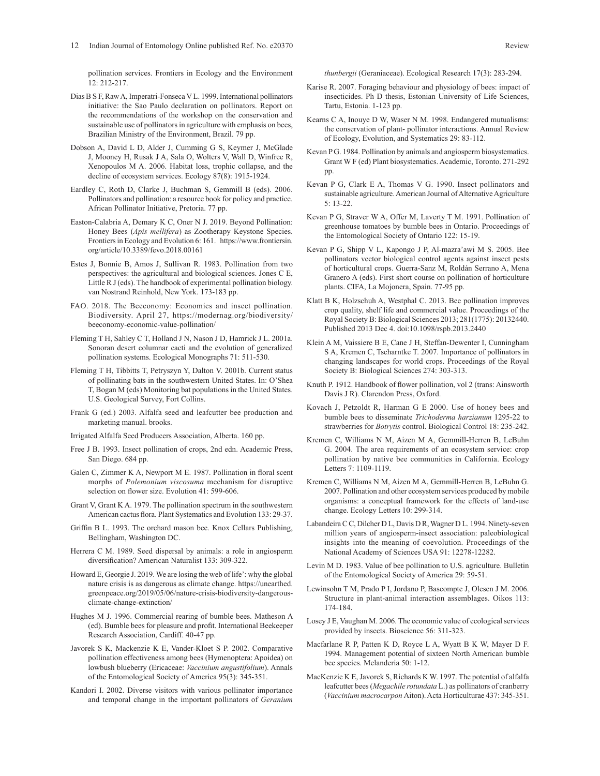pollination services. Frontiers in Ecology and the Environment 12: 212-217.

- Dias B S F, Raw A, Imperatri-Fonseca V L. 1999. International pollinators initiative: the Sao Paulo declaration on pollinators. Report on the recommendations of the workshop on the conservation and sustainable use of pollinators in agriculture with emphasis on bees, Brazilian Ministry of the Environment, Brazil. 79 pp.
- Dobson A, David L D, Alder J, Cumming G S, Keymer J, McGlade J, Mooney H, Rusak J A, Sala O, Wolters V, Wall D, Winfree R, Xenopoulos M A. 2006. Habitat loss, trophic collapse, and the decline of ecosystem services. Ecology 87(8): 1915-1924.
- Eardley C, Roth D, Clarke J, Buchman S, Gemmill B (eds). 2006. Pollinators and pollination: a resource book for policy and practice. African Pollinator Initiative, Pretoria. 77 pp.
- Easton-Calabria A, Demary K C, Oner N J. 2019. Beyond Pollination: Honey Bees (*Apis mellifera*) as Zootherapy Keystone Species. Frontiers in Ecology and Evolution 6: 161. https://www.frontiersin. org/article/10.3389/fevo.2018.00161
- Estes J, Bonnie B, Amos J, Sullivan R. 1983. Pollination from two perspectives: the agricultural and biological sciences. Jones C E, Little R J (eds). The handbook of experimental pollination biology. van Nostrand Reinhold, New York. 173-183 pp.
- FAO. 2018. The Beeconomy: Economics and insect pollination. Biodiversity. April 27, https://modernag.org/biodiversity/ beeconomy-economic-value-pollination/
- Fleming T H, Sahley C T, Holland J N, Nason J D, Hamrick J L. 2001a. Sonoran desert columnar cacti and the evolution of generalized pollination systems. Ecological Monographs 71: 511-530.
- Fleming T H, Tibbitts T, Petryszyn Y, Dalton V. 2001b. Current status of pollinating bats in the southwestern United States. In: O'Shea T, Bogan M (eds) Monitoring bat populations in the United States. U.S. Geological Survey, Fort Collins.
- Frank G (ed.) 2003. Alfalfa seed and leafcutter bee production and marketing manual. brooks.
- Irrigated Alfalfa Seed Producers Association, Alberta. 160 pp.
- Free J B. 1993. Insect pollination of crops, 2nd edn. Academic Press, San Diego. 684 pp.
- Galen C, Zimmer K A, Newport M E. 1987. Pollination in floral scent morphs of *Polemonium viscosuma* mechanism for disruptive selection on flower size. Evolution 41: 599-606.
- Grant V, Grant K A. 1979. The pollination spectrum in the southwestern American cactus flora. Plant Systematics and Evolution 133: 29-37.
- Griffin B L. 1993. The orchard mason bee. Knox Cellars Publishing, Bellingham, Washington DC.
- Herrera C M. 1989. Seed dispersal by animals: a role in angiosperm diversification? American Naturalist 133: 309-322.
- Howard E, Georgie J. 2019. We are losing the web of life': why the global nature crisis is as dangerous as climate change. https://unearthed. greenpeace.org/2019/05/06/nature-crisis-biodiversity-dangerousclimate-change-extinction/
- Hughes M J. 1996. Commercial rearing of bumble bees. Matheson A (ed). Bumble bees for pleasure and profit. International Beekeeper Research Association, Cardiff. 40-47 pp.
- Javorek S K, Mackenzie K E, Vander-Kloet S P. 2002. Comparative pollination effectiveness among bees (Hymenoptera: Apoidea) on lowbush blueberry (Ericaceae: *Vaccinium angustifolium*). Annals of the Entomological Society of America 95(3): 345-351.
- Kandori I. 2002. Diverse visitors with various pollinator importance and temporal change in the important pollinators of *Geranium*

*thunbergii* (Geraniaceae). Ecological Research 17(3): 283-294.

- Karise R. 2007. Foraging behaviour and physiology of bees: impact of insecticides. Ph D thesis, Estonian University of Life Sciences, Tartu, Estonia. 1-123 pp.
- Kearns C A, Inouye D W, Waser N M. 1998. Endangered mutualisms: the conservation of plant- pollinator interactions. Annual Review of Ecology, Evolution, and Systematics 29: 83-112.
- Kevan P G. 1984. Pollination by animals and angiosperm biosystematics. Grant W F (ed) Plant biosystematics. Academic, Toronto. 271-292 pp.
- Kevan P G, Clark E A, Thomas V G. 1990. Insect pollinators and sustainable agriculture. American Journal of Alternative Agriculture 5: 13-22.
- Kevan P G, Straver W A, Offer M, Laverty T M. 1991. Pollination of greenhouse tomatoes by bumble bees in Ontario. Proceedings of the Entomological Society of Ontario 122: 15-19.
- Kevan P G, Shipp V L, Kapongo J P, Al-mazra'awi M S. 2005. Bee pollinators vector biological control agents against insect pests of horticultural crops. Guerra-Sanz M, Roldán Serrano A, Mena Granero A (eds). First short course on pollination of horticulture plants. CIFA, La Mojonera, Spain. 77-95 pp.
- Klatt B K, Holzschuh A, Westphal C. 2013. Bee pollination improves crop quality, shelf life and commercial value. Proceedings of the Royal Society B: Biological Sciences 2013; 281(1775): 20132440. Published 2013 Dec 4. doi:10.1098/rspb.2013.2440
- Klein A M, Vaissiere B E, Cane J H, Steffan-Dewenter I, Cunningham S A, Kremen C, Tscharntke T. 2007. Importance of pollinators in changing landscapes for world crops. Proceedings of the Royal Society B: Biological Sciences 274: 303-313.
- Knuth P. 1912. Handbook of flower pollination, vol 2 (trans: Ainsworth Davis J R). Clarendon Press, Oxford.
- Kovach J, Petzoldt R, Harman G E 2000. Use of honey bees and bumble bees to disseminate *Trichoderma harzianum* 1295-22 to strawberries for *Botrytis* control. Biological Control 18: 235-242.
- Kremen C, Williams N M, Aizen M A, Gemmill-Herren B, LeBuhn G. 2004. The area requirements of an ecosystem service: crop pollination by native bee communities in California. Ecology Letters 7: 1109-1119.
- Kremen C, Williams N M, Aizen M A, Gemmill-Herren B, LeBuhn G. 2007. Pollination and other ecosystem services produced by mobile organisms: a conceptual framework for the effects of land-use change. Ecology Letters 10: 299-314.
- Labandeira C C, Dilcher D L, Davis D R, Wagner D L. 1994. Ninety-seven million years of angiosperm-insect association: paleobiological insights into the meaning of coevolution. Proceedings of the National Academy of Sciences USA 91: 12278-12282.
- Levin M D. 1983. Value of bee pollination to U.S. agriculture. Bulletin of the Entomological Society of America 29: 59-51.
- Lewinsohn T M, Prado P I, Jordano P, Bascompte J, Olesen J M. 2006. Structure in plant-animal interaction assemblages. Oikos 113: 174-184.
- Losey J E, Vaughan M. 2006. The economic value of ecological services provided by insects. Bioscience 56: 311-323.
- Macfarlane R P, Patten K D, Royce L A, Wyatt B K W, Mayer D F. 1994. Management potential of sixteen North American bumble bee species. Melanderia 50: 1-12.
- MacKenzie K E, Javorek S, Richards K W. 1997. The potential of alfalfa leafcutter bees (*Megachile rotundata* L.) as pollinators of cranberry (*Vaccinium macrocarpon* Aiton). Acta Horticulturae 437: 345-351.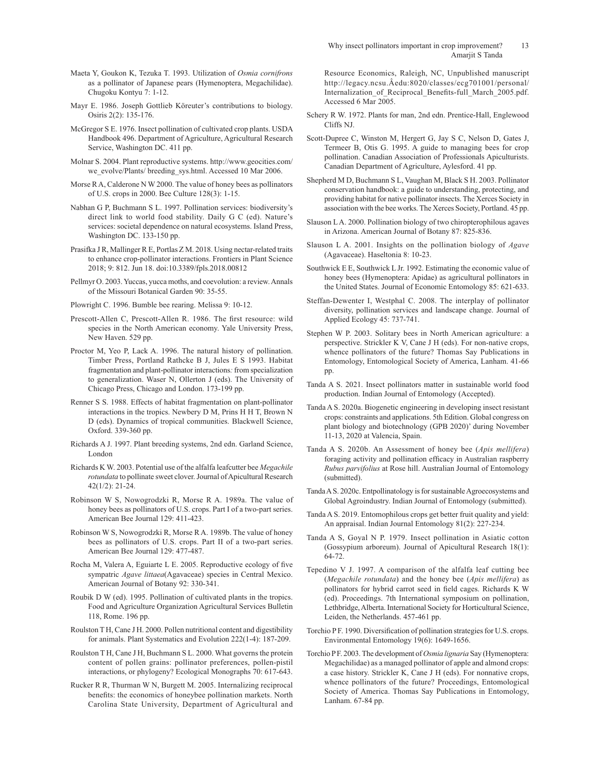- Maeta Y, Goukon K, Tezuka T. 1993. Utilization of *Osmia cornifrons*  as a pollinator of Japanese pears (Hymenoptera, Megachilidae). Chugoku Kontyu 7: 1-12.
- Mayr E. 1986. Joseph Gottlieb Köreuter's contributions to biology. Osiris 2(2): 135-176.
- McGregor S E. 1976. Insect pollination of cultivated crop plants. USDA Handbook 496. Department of Agriculture, Agricultural Research Service, Washington DC. 411 pp.
- Molnar S. 2004. Plant reproductive systems. http://www.geocities.com/ we\_evolve/Plants/ breeding\_sys.html. Accessed 10 Mar 2006.
- Morse R A, Calderone N W 2000. The value of honey bees as pollinators of U.S. crops in 2000. Bee Culture 128(3): 1-15.
- Nabhan G P, Buchmann S L. 1997. Pollination services: biodiversity's direct link to world food stability. Daily G C (ed). Nature's services: societal dependence on natural ecosystems. Island Press, Washington DC. 133-150 pp.
- Prasifka J R, Mallinger R E, Portlas Z M. 2018. Using nectar-related traits to enhance crop-pollinator interactions. Frontiers in Plant Science 2018; 9: 812. Jun 18. doi:10.3389/fpls.2018.00812
- Pellmyr O. 2003. Yuccas, yucca moths, and coevolution: a review. Annals of the Missouri Botanical Garden 90: 35-55.
- Plowright C. 1996. Bumble bee rearing. Melissa 9: 10-12.
- Prescott-Allen C, Prescott-Allen R. 1986. The first resource: wild species in the North American economy. Yale University Press, New Haven. 529 pp.
- Proctor M, Yeo P, Lack A. 1996. The natural history of pollination. Timber Press, Portland Rathcke B J, Jules E S 1993. Habitat fragmentation and plant-pollinator interactions*:* from specialization to generalization. Waser N, Ollerton J (eds). The University of Chicago Press, Chicago and London. 173-199 pp.
- Renner S S. 1988. Effects of habitat fragmentation on plant-pollinator interactions in the tropics. Newbery D M, Prins H H T, Brown N D (eds). Dynamics of tropical communities. Blackwell Science, Oxford. 339-360 pp.
- Richards A J. 1997. Plant breeding systems, 2nd edn. Garland Science, London
- Richards K W. 2003. Potential use of the alfalfa leafcutter bee *Megachile rotundata* to pollinate sweet clover. Journal of Apicultural Research 42(1/2): 21-24.
- Robinson W S, Nowogrodzki R, Morse R A. 1989a. The value of honey bees as pollinators of U.S. crops. Part I of a two-part series. American Bee Journal 129: 411-423.
- Robinson W S, Nowogrodzki R, Morse R A. 1989b. The value of honey bees as pollinators of U.S. crops. Part II of a two-part series. American Bee Journal 129: 477-487.
- Rocha M, Valera A, Eguiarte L E. 2005. Reproductive ecology of five sympatric *Agave littaea*(Agavaceae) species in Central Mexico. American Journal of Botany 92: 330-341.
- Roubik D W (ed). 1995. Pollination of cultivated plants in the tropics. Food and Agriculture Organization Agricultural Services Bulletin 118, Rome. 196 pp.
- Roulston T H, Cane J H. 2000. Pollen nutritional content and digestibility for animals. Plant Systematics and Evolution 222(1-4): 187-209.
- Roulston T H, Cane J H, Buchmann S L. 2000. What governs the protein content of pollen grains: pollinator preferences, pollen-pistil interactions, or phylogeny? Ecological Monographs 70: 617-643.
- Rucker R R, Thurman W N, Burgett M. 2005. Internalizing reciprocal benefits: the economics of honeybee pollination markets. North Carolina State University, Department of Agricultural and

Resource Economics, Raleigh, NC, Unpublished manuscript http://legacy.ncsu.Âedu:8020/classes/ecg701001/personal/ Internalization\_of\_Reciprocal\_Benefits-full\_March\_2005.pdf. Accessed 6 Mar 2005.

- Schery R W. 1972. Plants for man, 2nd edn. Prentice-Hall, Englewood Cliffs NJ.
- Scott-Dupree C, Winston M, Hergert G, Jay S C, Nelson D, Gates J, Termeer B, Otis G. 1995. A guide to managing bees for crop pollination. Canadian Association of Professionals Apiculturists. Canadian Department of Agriculture, Aylesford. 41 pp.
- Shepherd M D, Buchmann S L, Vaughan M, Black S H. 2003. Pollinator conservation handbook: a guide to understanding, protecting, and providing habitat for native pollinator insects. The Xerces Society in association with the bee works. The Xerces Society, Portland. 45 pp.
- Slauson L A. 2000. Pollination biology of two chiropterophilous agaves in Arizona. American Journal of Botany 87: 825-836.
- Slauson L A. 2001. Insights on the pollination biology of *Agave*  (Agavaceae). Haseltonia 8: 10-23.
- Southwick E E, Southwick L Jr. 1992. Estimating the economic value of honey bees (Hymenoptera: Apidae) as agricultural pollinators in the United States. Journal of Economic Entomology 85: 621-633.
- Steffan-Dewenter I, Westphal C. 2008. The interplay of pollinator diversity, pollination services and landscape change. Journal of Applied Ecology 45: 737-741.
- Stephen W P. 2003. Solitary bees in North American agriculture: a perspective. Strickler K V, Cane J H (eds). For non-native crops, whence pollinators of the future? Thomas Say Publications in Entomology, Entomological Society of America, Lanham. 41-66 pp.
- Tanda A S. 2021. Insect pollinators matter in sustainable world food production. Indian Journal of Entomology (Accepted).
- Tanda A S. 2020a. Biogenetic engineering in developing insect resistant crops: constraints and applications. 5th Edition. Global congress on plant biology and biotechnology (GPB 2020)' during November 11-13, 2020 at Valencia, Spain.
- Tanda A S. 2020b. An Assessment of honey bee (*Apis mellifera*) foraging activity and pollination efficacy in Australian raspberry *Rubus parvifolius* at Rose hill. Australian Journal of Entomology (submitted).
- Tanda A S. 2020c. Entpollinatology is for sustainable Agroecosystems and Global Agroindustry. Indian Journal of Entomology (submitted).
- Tanda A S. 2019. Entomophilous crops get better fruit quality and yield: An appraisal. Indian Journal Entomology 81(2): 227-234.
- Tanda A S, Goyal N P. 1979. Insect pollination in Asiatic cotton (Gossypium arboreum). Journal of Apicultural Research 18(1): 64-72.
- Tepedino V J. 1997. A comparison of the alfalfa leaf cutting bee (*Megachile rotundata*) and the honey bee (*Apis mellifera*) as pollinators for hybrid carrot seed in field cages. Richards K W (ed). Proceedings. 7th International symposium on pollination, Lethbridge, Alberta. International Society for Horticultural Science, Leiden, the Netherlands. 457-461 pp.
- Torchio P F. 1990. Diversification of pollination strategies for U.S. crops. Environmental Entomology 19(6): 1649-1656.
- Torchio P F. 2003. The development of *Osmia lignaria* Say (Hymenoptera: Megachilidae) as a managed pollinator of apple and almond crops: a case history. Strickler K, Cane J H (eds). For nonnative crops, whence pollinators of the future? Proceedings, Entomological Society of America. Thomas Say Publications in Entomology, Lanham. 67-84 pp.